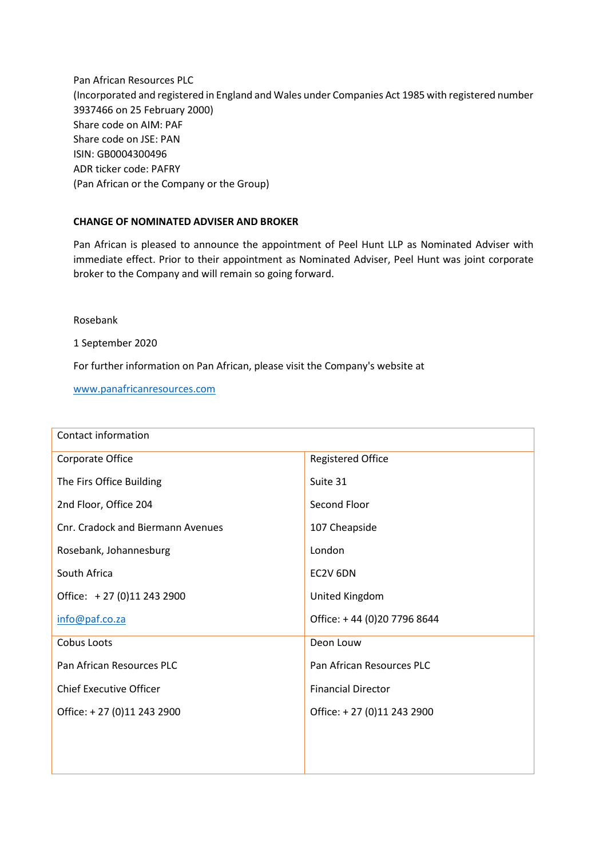Pan African Resources PLC (Incorporated and registered in England and Wales under Companies Act 1985 with registered number 3937466 on 25 February 2000) Share code on AIM: PAF Share code on JSE: PAN ISIN: GB0004300496 ADR ticker code: PAFRY (Pan African or the Company or the Group)

## **CHANGE OF NOMINATED ADVISER AND BROKER**

Pan African is pleased to announce the appointment of Peel Hunt LLP as Nominated Adviser with immediate effect. Prior to their appointment as Nominated Adviser, Peel Hunt was joint corporate broker to the Company and will remain so going forward.

Rosebank

1 September 2020

For further information on Pan African, please visit the Company's website at

[www.panafricanresources.com](http://www.panafricanresources.com/)

| Contact information               |                             |
|-----------------------------------|-----------------------------|
| Corporate Office                  | <b>Registered Office</b>    |
| The Firs Office Building          | Suite 31                    |
| 2nd Floor, Office 204             | Second Floor                |
| Cnr. Cradock and Biermann Avenues | 107 Cheapside               |
| Rosebank, Johannesburg            | London                      |
| South Africa                      | EC2V 6DN                    |
| Office: +27 (0)11 243 2900        | United Kingdom              |
| info@paf.co.za                    | Office: +44 (0)20 7796 8644 |
| Cobus Loots                       | Deon Louw                   |
| Pan African Resources PLC         | Pan African Resources PLC   |
| <b>Chief Executive Officer</b>    | <b>Financial Director</b>   |
| Office: +27 (0)11 243 2900        | Office: +27 (0)11 243 2900  |
|                                   |                             |
|                                   |                             |